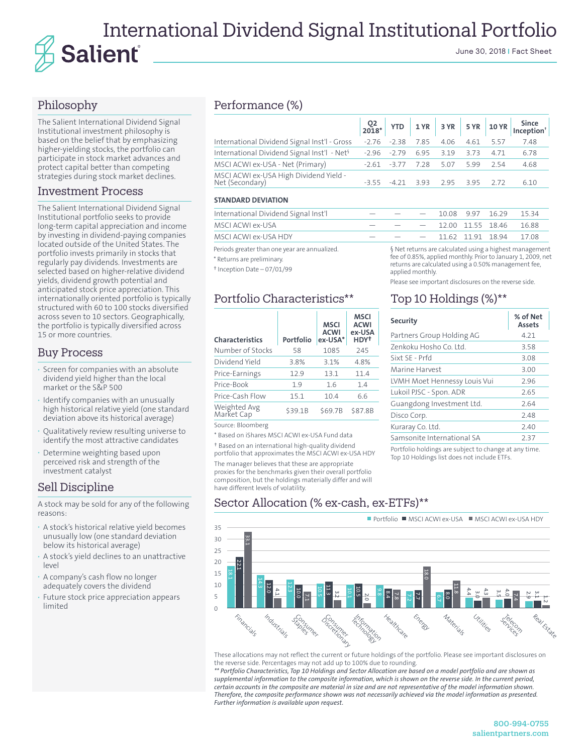# International Dividend Signal Institutional Portfolio Salienť June 30, 2018 | Fact Sheet

# Philosophy

The Salient International Dividend Signal Institutional investment philosophy is based on the belief that by emphasizing higher-yielding stocks, the portfolio can participate in stock market advances and protect capital better than competing strategies during stock market declines.

### Investment Process

The Salient International Dividend Signal Institutional portfolio seeks to provide long-term capital appreciation and income by investing in dividend-paying companies located outside of the United States. The portfolio invests primarily in stocks that regularly pay dividends. Investments are selected based on higher-relative dividend yields, dividend growth potential and anticipated stock price appreciation. This internationally oriented portfolio is typically structured with 60 to 100 stocks diversified across seven to 10 sectors. Geographically, the portfolio is typically diversified across 15 or more countries.

## Buy Process

- **·** Screen for companies with an absolute dividend yield higher than the local market or the S&P 500
- **·** Identify companies with an unusually high historical relative yield (one standard deviation above its historical average)
- **·** Qualitatively review resulting universe to identify the most attractive candidates
- **·** Determine weighting based upon perceived risk and strength of the investment catalyst

### Sell Discipline

A stock may be sold for any of the following reasons:

- **·** A stock's historical relative yield becomes unusually low (one standard deviation below its historical average)
- **·** A stock's yield declines to an unattractive level
- **·** A company's cash flow no longer adequately covers the dividend
- **·** Future stock price appreciation appears limited

# Performance (%)

|                                                           |        |        |                               |      |           | YTD 1YR 3YR 5YR 10YR Since |
|-----------------------------------------------------------|--------|--------|-------------------------------|------|-----------|----------------------------|
| International Dividend Signal Inst'l - Gross              |        |        | -2.76 -2.38 7.85 4.06         | 4.61 | 5.57      | 7.48                       |
| International Dividend Signal Inst'l - Net <sup>§</sup>   |        |        | $-2.96$ $-2.79$ $6.95$ $3.19$ | 3.73 | 4.71      | 6.78                       |
| MSCI ACWI ex-USA - Net (Primary)                          |        |        | $-2.61$ $-3.77$ $7.28$ 5.07   |      | 5.99 2.54 | 4.68                       |
| MSCI ACWI ex-USA High Dividend Yield -<br>Net (Secondary) | $-355$ | $-421$ | 3.93 2.95                     |      | 3.95 2.72 | 6.10                       |

### **STANDARD DEVIATION**

| International Dividend Signal Inst'l         | $   -$ |  | $-$ 10.08 9.97 16.29 15.34    |                                                       |  |
|----------------------------------------------|--------|--|-------------------------------|-------------------------------------------------------|--|
| MSCI ACWI ex-USA                             |        |  | $  -$ 12.00 11.55 18.46 16.88 |                                                       |  |
| MSCI ACWI ex-USA HDY                         |        |  | $  -$ 11.62 11.91 18.94 17.08 |                                                       |  |
| Periode greater than one year are annualized |        |  |                               | but returns are calculated using a highest management |  |

Periods greater than or \* Returns are preliminary.

† Inception Date – 07/01/99

# Portfolio Characteristics\*\*

| <b>Characteristics</b>     | Portfolio | <b>MSCI</b><br><b>ACWI</b><br>ex-USA* | <b>MSCI</b><br><b>ACWI</b><br>ex-USA<br>HDY <sup>+</sup> |
|----------------------------|-----------|---------------------------------------|----------------------------------------------------------|
| Number of Stocks           | 58        | 1085                                  | 245                                                      |
| Dividend Yield             | 3.8%      | 3.1%                                  | 4.8%                                                     |
| Price-Earnings             | 12.9      | 13.1                                  | 11.4                                                     |
| Price-Book                 | 19        | 1.6                                   | 1.4                                                      |
| Price-Cash Flow            | 15.1      | 10.4                                  | 6.6                                                      |
| Weighted Avg<br>Market Cap | \$39.1B   | \$69.7B                               | \$87.8B                                                  |

Source: Bloomberg

\* Based on iShares MSCI ACWI ex-USA Fund data

† Based on an international high-quality dividend portfolio that approximates the MSCI ACWI ex-USA HDY

The manager believes that these are appropriate proxies for the benchmarks given their overall portfolio composition, but the holdings materially differ and will have different levels of volatility.

a highest mana fee of 0.85%, applied monthly. Prior to January 1, 2009, net returns are calculated using a 0.50% management fee, applied monthly.

Please see important disclosures on the reverse side.

### Top 10 Holdings (%)\*\*

| <b>Security</b>              | % of Net<br><b>Assets</b> |
|------------------------------|---------------------------|
| Partners Group Holding AG    | 4.21                      |
| Zenkoku Hosho Co. Itd.       | 3.58                      |
| Sixt SE - Prfd               | 3.08                      |
| Marine Harvest               | 3.00                      |
| LVMH Moet Hennessy Louis Vui | 2.96                      |
| Lukoil PJSC - Spon. ADR      | 2.65                      |
| Guangdong Investment Ltd.    | 2.64                      |
| Disco Corp.                  | 2.48                      |
| Kuraray Co. Ltd.             | 2.40                      |
| Samsonite International SA   | 237                       |
|                              |                           |

Portfolio holdings are subject to change at any time. Top 10 Holdings list does not include ETFs.

# Sector Allocation (% ex-cash, ex-ETFs)\*\*



These allocations may not reflect the current or future holdings of the portfolio. Please see important disclosures on the reverse side. Percentages may not add up to 100% due to rounding.

*\*\* Portfolio Characteristics, Top 10 Holdings and Sector Allocation are based on a model portfolio and are shown as*  supplemental information to the composite information, which is shown on the reverse side. In the current period, *certain accounts in the composite are material in size and are not representative of the model information shown. Therefore, the composite performance shown was not necessarily achieved via the model information as presented. Further information is available upon request.*